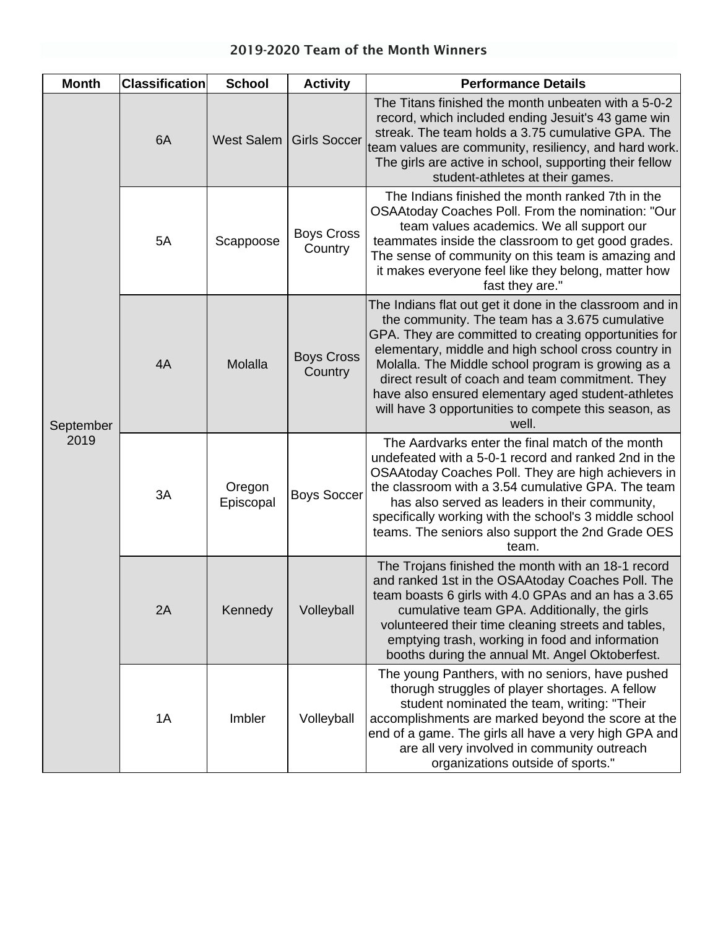| <b>Month</b>      | <b>Classification</b> | <b>School</b>       | <b>Activity</b>              | <b>Performance Details</b>                                                                                                                                                                                                                                                                                                                                                                                                                                  |
|-------------------|-----------------------|---------------------|------------------------------|-------------------------------------------------------------------------------------------------------------------------------------------------------------------------------------------------------------------------------------------------------------------------------------------------------------------------------------------------------------------------------------------------------------------------------------------------------------|
| September<br>2019 | 6A                    | West Salem          | <b>Girls Soccer</b>          | The Titans finished the month unbeaten with a 5-0-2<br>record, which included ending Jesuit's 43 game win<br>streak. The team holds a 3.75 cumulative GPA. The<br>team values are community, resiliency, and hard work.<br>The girls are active in school, supporting their fellow<br>student-athletes at their games.                                                                                                                                      |
|                   | 5A<br>4A              | Scappoose           | <b>Boys Cross</b><br>Country | The Indians finished the month ranked 7th in the<br>OSAAtoday Coaches Poll. From the nomination: "Our<br>team values academics. We all support our<br>teammates inside the classroom to get good grades.<br>The sense of community on this team is amazing and<br>it makes everyone feel like they belong, matter how<br>fast they are."                                                                                                                    |
|                   |                       | Molalla             | <b>Boys Cross</b><br>Country | The Indians flat out get it done in the classroom and in<br>the community. The team has a 3.675 cumulative<br>GPA. They are committed to creating opportunities for<br>elementary, middle and high school cross country in<br>Molalla. The Middle school program is growing as a<br>direct result of coach and team commitment. They<br>have also ensured elementary aged student-athletes<br>will have 3 opportunities to compete this season, as<br>well. |
|                   | 3A                    | Oregon<br>Episcopal | <b>Boys Soccer</b>           | The Aardvarks enter the final match of the month<br>undefeated with a 5-0-1 record and ranked 2nd in the<br>OSAAtoday Coaches Poll. They are high achievers in<br>the classroom with a 3.54 cumulative GPA. The team<br>has also served as leaders in their community,<br>specifically working with the school's 3 middle school<br>teams. The seniors also support the 2nd Grade OES<br>team.                                                              |
|                   | 2A                    | Kennedy             | Volleyball                   | The Trojans finished the month with an 18-1 record<br>and ranked 1st in the OSAAtoday Coaches Poll. The<br>team boasts 6 girls with 4.0 GPAs and an has a 3.65<br>cumulative team GPA. Additionally, the girls<br>volunteered their time cleaning streets and tables,<br>emptying trash, working in food and information<br>booths during the annual Mt. Angel Oktoberfest.                                                                                 |
|                   | 1A                    | Imbler              | Volleyball                   | The young Panthers, with no seniors, have pushed<br>thorugh struggles of player shortages. A fellow<br>student nominated the team, writing: "Their<br>accomplishments are marked beyond the score at the<br>end of a game. The girls all have a very high GPA and<br>are all very involved in community outreach<br>organizations outside of sports."                                                                                                       |

## 2019-2020 Team of the Month Winners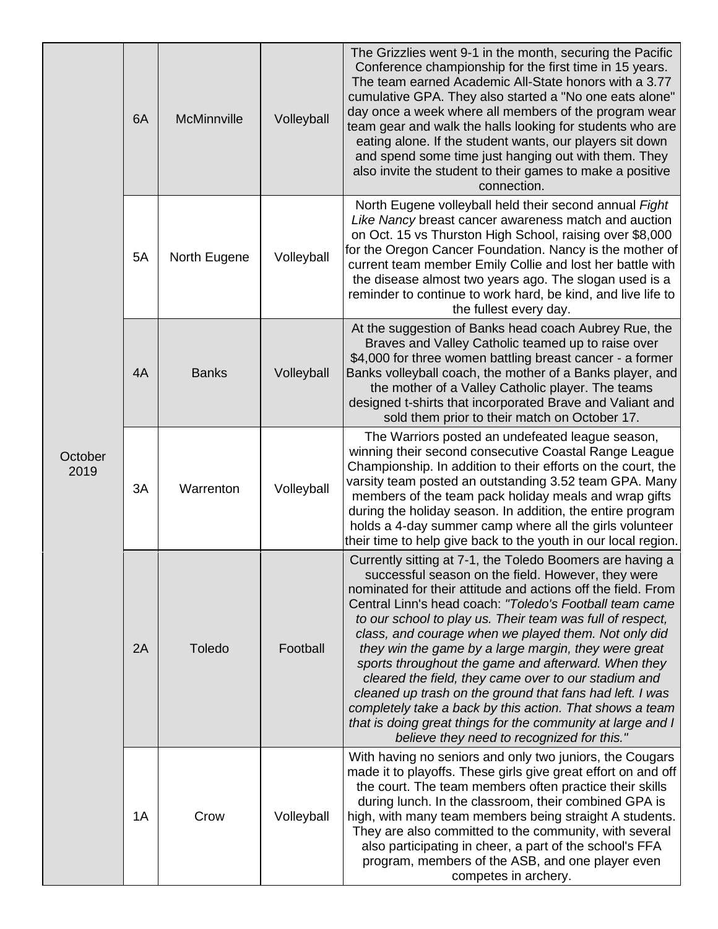| October<br>2019 | 6A | McMinnville  | Volleyball | The Grizzlies went 9-1 in the month, securing the Pacific<br>Conference championship for the first time in 15 years.<br>The team earned Academic All-State honors with a 3.77<br>cumulative GPA. They also started a "No one eats alone"<br>day once a week where all members of the program wear<br>team gear and walk the halls looking for students who are<br>eating alone. If the student wants, our players sit down<br>and spend some time just hanging out with them. They<br>also invite the student to their games to make a positive<br>connection.                                                                                                                                                                                                              |
|-----------------|----|--------------|------------|-----------------------------------------------------------------------------------------------------------------------------------------------------------------------------------------------------------------------------------------------------------------------------------------------------------------------------------------------------------------------------------------------------------------------------------------------------------------------------------------------------------------------------------------------------------------------------------------------------------------------------------------------------------------------------------------------------------------------------------------------------------------------------|
|                 | 5A | North Eugene | Volleyball | North Eugene volleyball held their second annual Fight<br>Like Nancy breast cancer awareness match and auction<br>on Oct. 15 vs Thurston High School, raising over \$8,000<br>for the Oregon Cancer Foundation. Nancy is the mother of<br>current team member Emily Collie and lost her battle with<br>the disease almost two years ago. The slogan used is a<br>reminder to continue to work hard, be kind, and live life to<br>the fullest every day.                                                                                                                                                                                                                                                                                                                     |
|                 | 4A | <b>Banks</b> | Volleyball | At the suggestion of Banks head coach Aubrey Rue, the<br>Braves and Valley Catholic teamed up to raise over<br>\$4,000 for three women battling breast cancer - a former<br>Banks volleyball coach, the mother of a Banks player, and<br>the mother of a Valley Catholic player. The teams<br>designed t-shirts that incorporated Brave and Valiant and<br>sold them prior to their match on October 17.                                                                                                                                                                                                                                                                                                                                                                    |
|                 | 3A | Warrenton    | Volleyball | The Warriors posted an undefeated league season,<br>winning their second consecutive Coastal Range League<br>Championship. In addition to their efforts on the court, the<br>varsity team posted an outstanding 3.52 team GPA. Many<br>members of the team pack holiday meals and wrap gifts<br>during the holiday season. In addition, the entire program<br>holds a 4-day summer camp where all the girls volunteer<br>their time to help give back to the youth in our local region.                                                                                                                                                                                                                                                                                     |
|                 | 2A | Toledo       | Football   | Currently sitting at 7-1, the Toledo Boomers are having a<br>successful season on the field. However, they were<br>nominated for their attitude and actions off the field. From<br>Central Linn's head coach: "Toledo's Football team came<br>to our school to play us. Their team was full of respect,<br>class, and courage when we played them. Not only did<br>they win the game by a large margin, they were great<br>sports throughout the game and afterward. When they<br>cleared the field, they came over to our stadium and<br>cleaned up trash on the ground that fans had left. I was<br>completely take a back by this action. That shows a team<br>that is doing great things for the community at large and I<br>believe they need to recognized for this." |
|                 | 1A | Crow         | Volleyball | With having no seniors and only two juniors, the Cougars<br>made it to playoffs. These girls give great effort on and off<br>the court. The team members often practice their skills<br>during lunch. In the classroom, their combined GPA is<br>high, with many team members being straight A students.<br>They are also committed to the community, with several<br>also participating in cheer, a part of the school's FFA<br>program, members of the ASB, and one player even<br>competes in archery.                                                                                                                                                                                                                                                                   |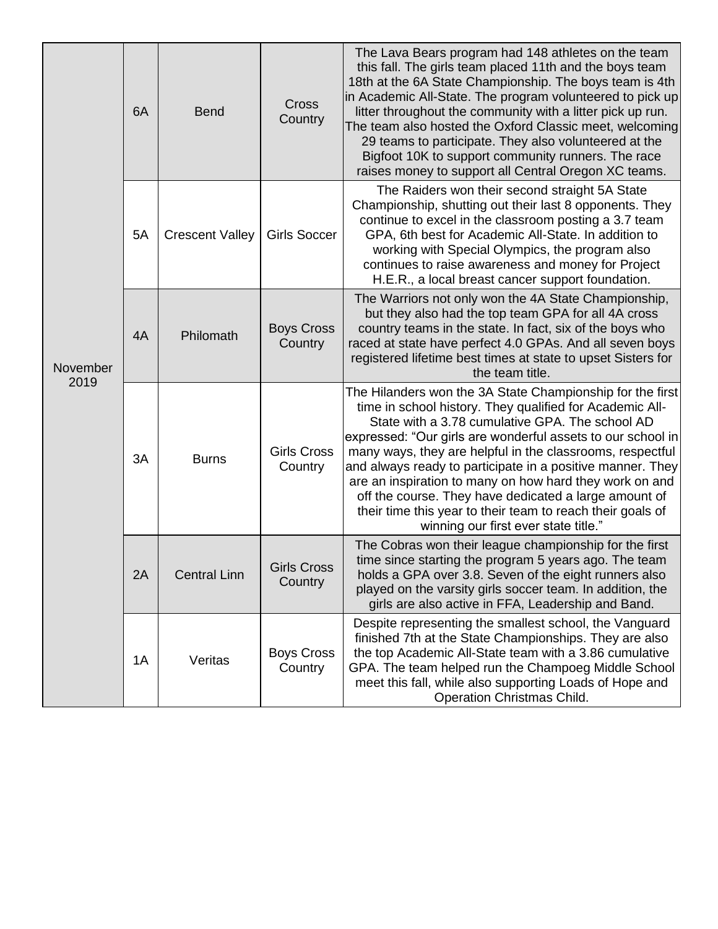| November<br>2019 | 6A | <b>Bend</b>            | Cross<br>Country              | The Lava Bears program had 148 athletes on the team<br>this fall. The girls team placed 11th and the boys team<br>18th at the 6A State Championship. The boys team is 4th<br>in Academic All-State. The program volunteered to pick up<br>litter throughout the community with a litter pick up run.<br>The team also hosted the Oxford Classic meet, welcoming<br>29 teams to participate. They also volunteered at the<br>Bigfoot 10K to support community runners. The race<br>raises money to support all Central Oregon XC teams.                                                       |
|------------------|----|------------------------|-------------------------------|----------------------------------------------------------------------------------------------------------------------------------------------------------------------------------------------------------------------------------------------------------------------------------------------------------------------------------------------------------------------------------------------------------------------------------------------------------------------------------------------------------------------------------------------------------------------------------------------|
|                  | 5A | <b>Crescent Valley</b> | <b>Girls Soccer</b>           | The Raiders won their second straight 5A State<br>Championship, shutting out their last 8 opponents. They<br>continue to excel in the classroom posting a 3.7 team<br>GPA, 6th best for Academic All-State. In addition to<br>working with Special Olympics, the program also<br>continues to raise awareness and money for Project<br>H.E.R., a local breast cancer support foundation.                                                                                                                                                                                                     |
|                  | 4A | Philomath              | <b>Boys Cross</b><br>Country  | The Warriors not only won the 4A State Championship,<br>but they also had the top team GPA for all 4A cross<br>country teams in the state. In fact, six of the boys who<br>raced at state have perfect 4.0 GPAs. And all seven boys<br>registered lifetime best times at state to upset Sisters for<br>the team title.                                                                                                                                                                                                                                                                       |
|                  | 3A | <b>Burns</b>           | <b>Girls Cross</b><br>Country | The Hilanders won the 3A State Championship for the first<br>time in school history. They qualified for Academic All-<br>State with a 3.78 cumulative GPA. The school AD<br>expressed: "Our girls are wonderful assets to our school in<br>many ways, they are helpful in the classrooms, respectful<br>and always ready to participate in a positive manner. They<br>are an inspiration to many on how hard they work on and<br>off the course. They have dedicated a large amount of<br>their time this year to their team to reach their goals of<br>winning our first ever state title." |
|                  | 2A | <b>Central Linn</b>    | <b>Girls Cross</b><br>Country | The Cobras won their league championship for the first<br>time since starting the program 5 years ago. The team<br>holds a GPA over 3.8. Seven of the eight runners also<br>played on the varsity girls soccer team. In addition, the<br>girls are also active in FFA, Leadership and Band.                                                                                                                                                                                                                                                                                                  |
|                  | 1A | Veritas                | <b>Boys Cross</b><br>Country  | Despite representing the smallest school, the Vanguard<br>finished 7th at the State Championships. They are also<br>the top Academic All-State team with a 3.86 cumulative<br>GPA. The team helped run the Champoeg Middle School<br>meet this fall, while also supporting Loads of Hope and<br>Operation Christmas Child.                                                                                                                                                                                                                                                                   |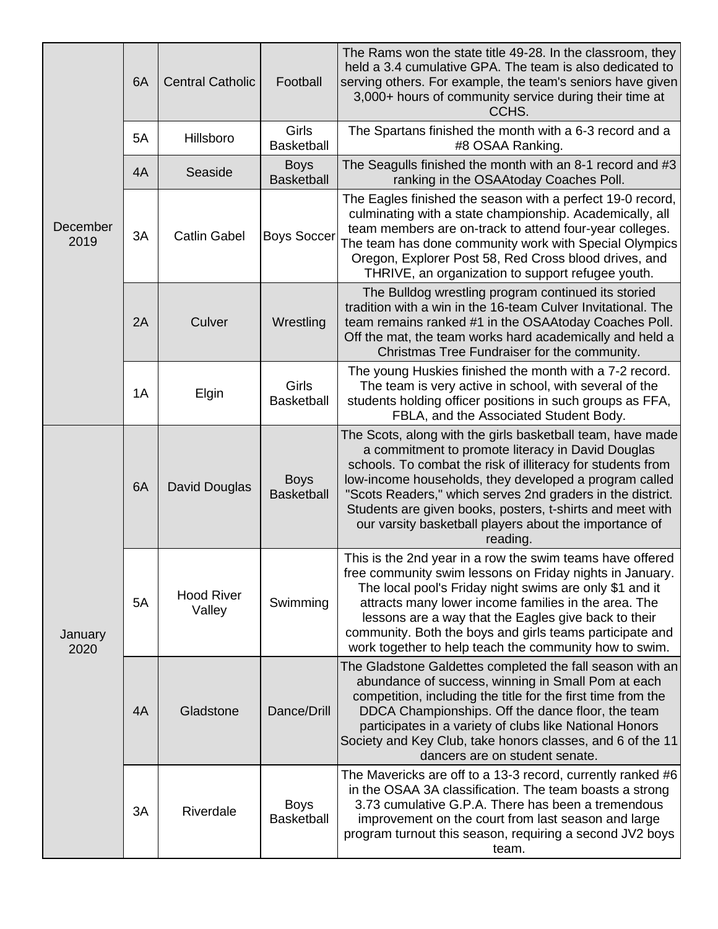| December<br>2019 | 6A | <b>Central Catholic</b>     | Football                         | The Rams won the state title 49-28. In the classroom, they<br>held a 3.4 cumulative GPA. The team is also dedicated to<br>serving others. For example, the team's seniors have given<br>3,000+ hours of community service during their time at<br>CCHS.                                                                                                                                                                                   |
|------------------|----|-----------------------------|----------------------------------|-------------------------------------------------------------------------------------------------------------------------------------------------------------------------------------------------------------------------------------------------------------------------------------------------------------------------------------------------------------------------------------------------------------------------------------------|
|                  | 5A | Hillsboro                   | Girls<br><b>Basketball</b>       | The Spartans finished the month with a 6-3 record and a<br>#8 OSAA Ranking.                                                                                                                                                                                                                                                                                                                                                               |
|                  | 4A | Seaside                     | <b>Boys</b><br><b>Basketball</b> | The Seagulls finished the month with an 8-1 record and #3<br>ranking in the OSAAtoday Coaches Poll.                                                                                                                                                                                                                                                                                                                                       |
|                  | 3A | <b>Catlin Gabel</b>         | <b>Boys Soccer</b>               | The Eagles finished the season with a perfect 19-0 record,<br>culminating with a state championship. Academically, all<br>team members are on-track to attend four-year colleges.<br>The team has done community work with Special Olympics<br>Oregon, Explorer Post 58, Red Cross blood drives, and<br>THRIVE, an organization to support refugee youth.                                                                                 |
|                  | 2A | Culver                      | Wrestling                        | The Bulldog wrestling program continued its storied<br>tradition with a win in the 16-team Culver Invitational. The<br>team remains ranked #1 in the OSAAtoday Coaches Poll.<br>Off the mat, the team works hard academically and held a<br>Christmas Tree Fundraiser for the community.                                                                                                                                                  |
|                  | 1A | Elgin                       | Girls<br><b>Basketball</b>       | The young Huskies finished the month with a 7-2 record.<br>The team is very active in school, with several of the<br>students holding officer positions in such groups as FFA,<br>FBLA, and the Associated Student Body.                                                                                                                                                                                                                  |
| January<br>2020  | 6A | David Douglas               | <b>Boys</b><br><b>Basketball</b> | The Scots, along with the girls basketball team, have made<br>a commitment to promote literacy in David Douglas<br>schools. To combat the risk of illiteracy for students from<br>low-income households, they developed a program called<br>"Scots Readers," which serves 2nd graders in the district.<br>Students are given books, posters, t-shirts and meet with<br>our varsity basketball players about the importance of<br>reading. |
|                  | 5A | <b>Hood River</b><br>Valley | Swimming                         | This is the 2nd year in a row the swim teams have offered<br>free community swim lessons on Friday nights in January.<br>The local pool's Friday night swims are only \$1 and it<br>attracts many lower income families in the area. The<br>lessons are a way that the Eagles give back to their<br>community. Both the boys and girls teams participate and<br>work together to help teach the community how to swim.                    |
|                  | 4A | Gladstone                   | Dance/Drill                      | The Gladstone Galdettes completed the fall season with an<br>abundance of success, winning in Small Pom at each<br>competition, including the title for the first time from the<br>DDCA Championships. Off the dance floor, the team<br>participates in a variety of clubs like National Honors<br>Society and Key Club, take honors classes, and 6 of the 11<br>dancers are on student senate.                                           |
|                  | 3A | Riverdale                   | <b>Boys</b><br><b>Basketball</b> | The Mavericks are off to a 13-3 record, currently ranked #6<br>in the OSAA 3A classification. The team boasts a strong<br>3.73 cumulative G.P.A. There has been a tremendous<br>improvement on the court from last season and large<br>program turnout this season, requiring a second JV2 boys<br>team.                                                                                                                                  |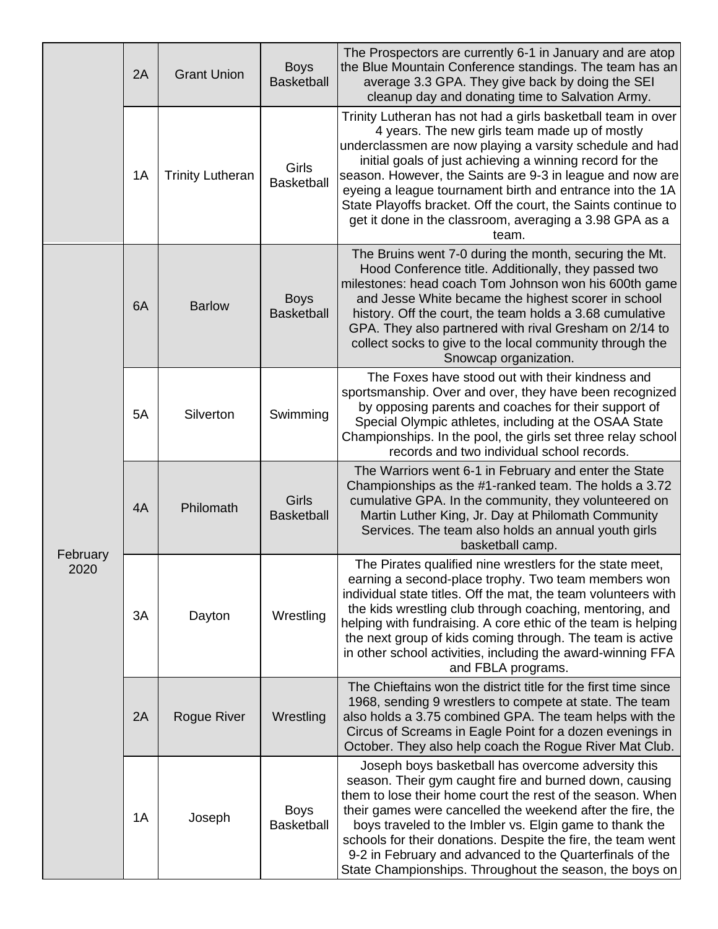|                  | 2A | <b>Grant Union</b>      | <b>Boys</b><br><b>Basketball</b> | The Prospectors are currently 6-1 in January and are atop<br>the Blue Mountain Conference standings. The team has an<br>average 3.3 GPA. They give back by doing the SEI<br>cleanup day and donating time to Salvation Army.                                                                                                                                                                                                                                                                         |
|------------------|----|-------------------------|----------------------------------|------------------------------------------------------------------------------------------------------------------------------------------------------------------------------------------------------------------------------------------------------------------------------------------------------------------------------------------------------------------------------------------------------------------------------------------------------------------------------------------------------|
|                  | 1A | <b>Trinity Lutheran</b> | Girls<br><b>Basketball</b>       | Trinity Lutheran has not had a girls basketball team in over<br>4 years. The new girls team made up of mostly<br>underclassmen are now playing a varsity schedule and had<br>initial goals of just achieving a winning record for the<br>season. However, the Saints are 9-3 in league and now are<br>eyeing a league tournament birth and entrance into the 1A<br>State Playoffs bracket. Off the court, the Saints continue to<br>get it done in the classroom, averaging a 3.98 GPA as a<br>team. |
| February<br>2020 | 6A | <b>Barlow</b>           | <b>Boys</b><br><b>Basketball</b> | The Bruins went 7-0 during the month, securing the Mt.<br>Hood Conference title. Additionally, they passed two<br>milestones: head coach Tom Johnson won his 600th game<br>and Jesse White became the highest scorer in school<br>history. Off the court, the team holds a 3.68 cumulative<br>GPA. They also partnered with rival Gresham on 2/14 to<br>collect socks to give to the local community through the<br>Snowcap organization.                                                            |
|                  | 5A | Silverton               | Swimming                         | The Foxes have stood out with their kindness and<br>sportsmanship. Over and over, they have been recognized<br>by opposing parents and coaches for their support of<br>Special Olympic athletes, including at the OSAA State<br>Championships. In the pool, the girls set three relay school<br>records and two individual school records.                                                                                                                                                           |
|                  | 4A | Philomath               | Girls<br><b>Basketball</b>       | The Warriors went 6-1 in February and enter the State<br>Championships as the #1-ranked team. The holds a 3.72<br>cumulative GPA. In the community, they volunteered on<br>Martin Luther King, Jr. Day at Philomath Community<br>Services. The team also holds an annual youth girls<br>basketball camp.                                                                                                                                                                                             |
|                  | 3A | Dayton                  | Wrestling                        | The Pirates qualified nine wrestlers for the state meet,<br>earning a second-place trophy. Two team members won<br>individual state titles. Off the mat, the team volunteers with<br>the kids wrestling club through coaching, mentoring, and<br>helping with fundraising. A core ethic of the team is helping<br>the next group of kids coming through. The team is active<br>in other school activities, including the award-winning FFA<br>and FBLA programs.                                     |
|                  | 2A | Rogue River             | Wrestling                        | The Chieftains won the district title for the first time since<br>1968, sending 9 wrestlers to compete at state. The team<br>also holds a 3.75 combined GPA. The team helps with the<br>Circus of Screams in Eagle Point for a dozen evenings in<br>October. They also help coach the Rogue River Mat Club.                                                                                                                                                                                          |
|                  | 1A | Joseph                  | <b>Boys</b><br><b>Basketball</b> | Joseph boys basketball has overcome adversity this<br>season. Their gym caught fire and burned down, causing<br>them to lose their home court the rest of the season. When<br>their games were cancelled the weekend after the fire, the<br>boys traveled to the Imbler vs. Elgin game to thank the<br>schools for their donations. Despite the fire, the team went<br>9-2 in February and advanced to the Quarterfinals of the<br>State Championships. Throughout the season, the boys on           |